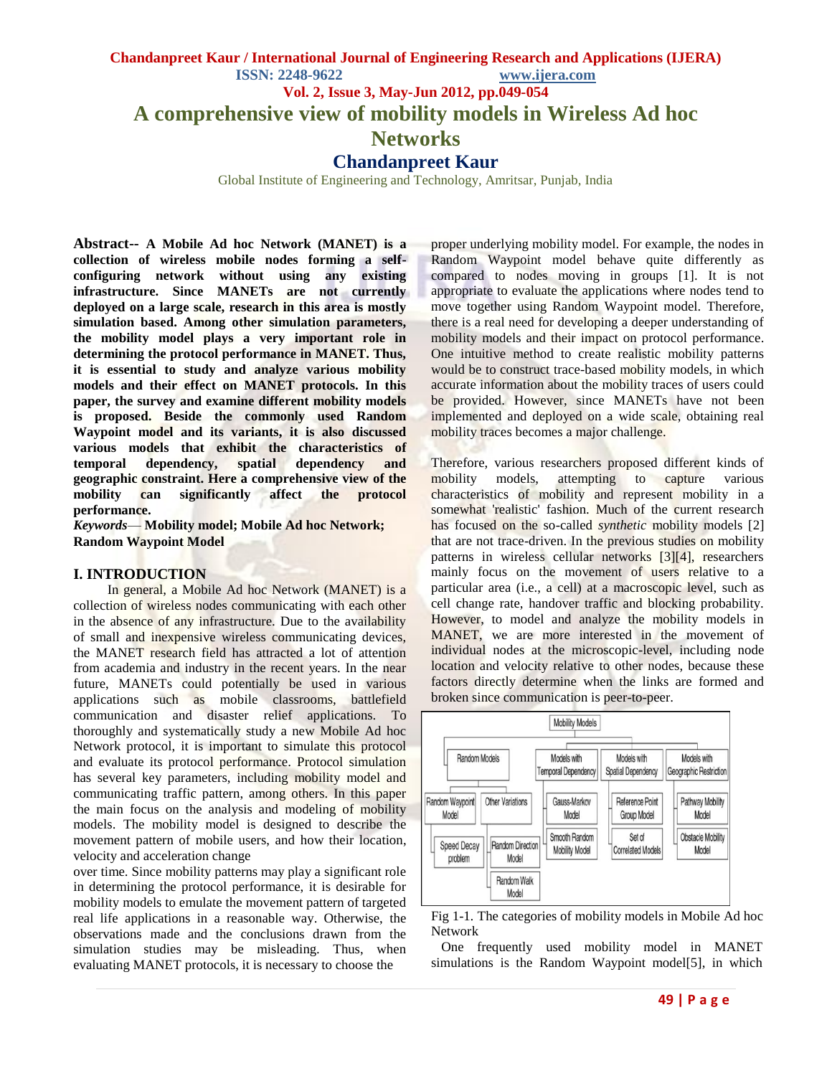# **Chandanpreet Kaur / International Journal of Engineering Research and Applications (IJERA) ISSN: 2248-9622 www.ijera.com Vol. 2, Issue 3, May-Jun 2012, pp.049-054 A comprehensive view of mobility models in Wireless Ad hoc Networks Chandanpreet Kaur**

Global Institute of Engineering and Technology, Amritsar, Punjab, India

**Abstract-- A Mobile Ad hoc Network (MANET) is a collection of wireless mobile nodes forming a selfconfiguring network without using any existing infrastructure. Since MANETs are not currently deployed on a large scale, research in this area is mostly simulation based. Among other simulation parameters, the mobility model plays a very important role in determining the protocol performance in MANET. Thus, it is essential to study and analyze various mobility models and their effect on MANET protocols. In this paper, the survey and examine different mobility models is proposed. Beside the commonly used Random Waypoint model and its variants, it is also discussed various models that exhibit the characteristics of temporal dependency, spatial dependency and geographic constraint. Here a comprehensive view of the mobility can significantly affect the protocol performance.**

*Keywords*— **Mobility model; Mobile Ad hoc Network; Random Waypoint Model**

#### **I. INTRODUCTION**

 In general, a Mobile Ad hoc Network (MANET) is a collection of wireless nodes communicating with each other in the absence of any infrastructure. Due to the availability of small and inexpensive wireless communicating devices, the MANET research field has attracted a lot of attention from academia and industry in the recent years. In the near future, MANETs could potentially be used in various applications such as mobile classrooms, battlefield communication and disaster relief applications. To thoroughly and systematically study a new Mobile Ad hoc Network protocol, it is important to simulate this protocol and evaluate its protocol performance. Protocol simulation has several key parameters, including mobility model and communicating traffic pattern, among others. In this paper the main focus on the analysis and modeling of mobility models. The mobility model is designed to describe the movement pattern of mobile users, and how their location, velocity and acceleration change

over time. Since mobility patterns may play a significant role in determining the protocol performance, it is desirable for mobility models to emulate the movement pattern of targeted real life applications in a reasonable way. Otherwise, the observations made and the conclusions drawn from the simulation studies may be misleading. Thus, when evaluating MANET protocols, it is necessary to choose the

proper underlying mobility model. For example, the nodes in Random Waypoint model behave quite differently as compared to nodes moving in groups [1]. It is not appropriate to evaluate the applications where nodes tend to move together using Random Waypoint model. Therefore, there is a real need for developing a deeper understanding of mobility models and their impact on protocol performance. One intuitive method to create realistic mobility patterns would be to construct trace-based mobility models, in which accurate information about the mobility traces of users could be provided. However, since MANETs have not been implemented and deployed on a wide scale, obtaining real mobility traces becomes a major challenge.

Therefore, various researchers proposed different kinds of mobility models, attempting to capture various characteristics of mobility and represent mobility in a somewhat 'realistic' fashion. Much of the current research has focused on the so-called *synthetic* mobility models [2] that are not trace-driven. In the previous studies on mobility patterns in wireless cellular networks [3][4], researchers mainly focus on the movement of users relative to a particular area (i.e., a cell) at a macroscopic level, such as cell change rate, handover traffic and blocking probability. However, to model and analyze the mobility models in MANET, we are more interested in the movement of individual nodes at the microscopic-level, including node location and velocity relative to other nodes, because these factors directly determine when the links are formed and broken since communication is peer-to-peer.



Fig 1-1*.* The categories of mobility models in Mobile Ad hoc Network

 One frequently used mobility model in MANET simulations is the Random Waypoint model[5], in which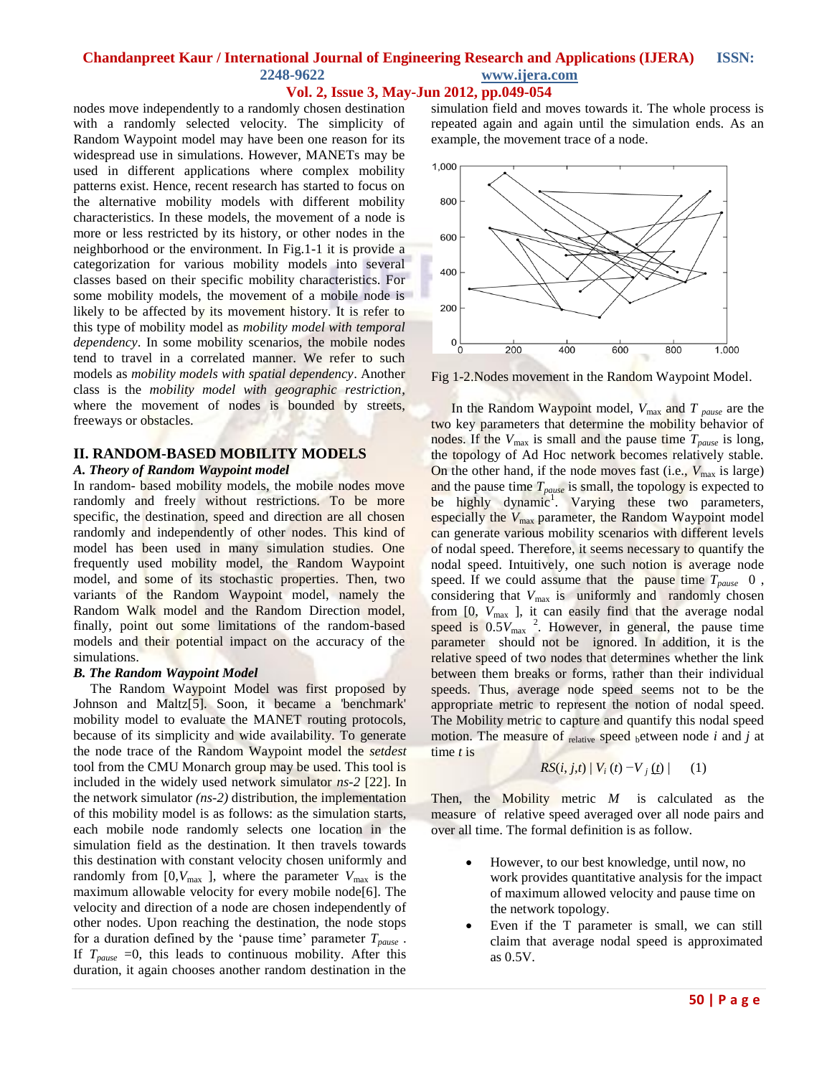## **Vol. 2, Issue 3, May-Jun 2012, pp.049-054**

nodes move independently to a randomly chosen destination with a randomly selected velocity. The simplicity of Random Waypoint model may have been one reason for its widespread use in simulations. However, MANETs may be used in different applications where complex mobility patterns exist. Hence, recent research has started to focus on the alternative mobility models with different mobility characteristics. In these models, the movement of a node is more or less restricted by its history, or other nodes in the neighborhood or the environment. In Fig.1-1 it is provide a categorization for various mobility models into several classes based on their specific mobility characteristics. For some mobility models, the movement of a mobile node is likely to be affected by its movement history. It is refer to this type of mobility model as *mobility model with temporal dependency*. In some mobility scenarios, the mobile nodes tend to travel in a correlated manner. We refer to such models as *mobility models with spatial dependency*. Another class is the *mobility model with geographic restriction*, where the movement of nodes is bounded by streets, freeways or obstacles.

#### **II. RANDOM-BASED MOBILITY MODELS**

#### *A. Theory of Random Waypoint model*

In random- based mobility models, the mobile nodes move randomly and freely without restrictions. To be more specific, the destination, speed and direction are all chosen randomly and independently of other nodes. This kind of model has been used in many simulation studies. One frequently used mobility model, the Random Waypoint model, and some of its stochastic properties. Then, two variants of the Random Waypoint model, namely the Random Walk model and the Random Direction model, finally, point out some limitations of the random-based models and their potential impact on the accuracy of the simulations.

#### *B. The Random Waypoint Model*

 The Random Waypoint Model was first proposed by Johnson and Maltz[5]. Soon, it became a 'benchmark' mobility model to evaluate the MANET routing protocols, because of its simplicity and wide availability. To generate the node trace of the Random Waypoint model the *setdest* tool from the CMU Monarch group may be used. This tool is included in the widely used network simulator *ns-2* [22]. In the network simulator *(ns-2)* distribution, the implementation of this mobility model is as follows: as the simulation starts, each mobile node randomly selects one location in the simulation field as the destination. It then travels towards this destination with constant velocity chosen uniformly and randomly from  $[0, V_{\text{max}}]$ , where the parameter  $V_{\text{max}}$  is the maximum allowable velocity for every mobile node[6]. The velocity and direction of a node are chosen independently of other nodes. Upon reaching the destination, the node stops for a duration defined by the 'pause time' parameter *Tpause* . If  $T_{\text{pause}} = 0$ , this leads to continuous mobility. After this duration, it again chooses another random destination in the

simulation field and moves towards it. The whole process is repeated again and again until the simulation ends. As an example, the movement trace of a node.



Fig 1-2.Nodes movement in the Random Waypoint Model.

In the Random Waypoint model, *V*max and *T pause* are the two key parameters that determine the mobility behavior of nodes. If the  $V_{\text{max}}$  is small and the pause time  $T_{\text{pause}}$  is long, the topology of Ad Hoc network becomes relatively stable. On the other hand, if the node moves fast (i.e.,  $V_{\text{max}}$  is large) and the pause time *Tpause* is small, the topology is expected to be highly dynamic<sup>1</sup>. Varying these two parameters, especially the *V*<sub>max</sub> parameter, the Random Waypoint model can generate various mobility scenarios with different levels of nodal speed. Therefore, it seems necessary to quantify the nodal speed. Intuitively, one such notion is average node speed. If we could assume that the pause time *Tpause* 0 , considering that  $V_{\text{max}}$  is uniformly and randomly chosen from [0,  $V_{\text{max}}$ ], it can easily find that the average nodal speed is  $0.5V_{\text{max}}$ <sup>2</sup>. However, in general, the pause time parameter should not be ignored. In addition, it is the relative speed of two nodes that determines whether the link between them breaks or forms, rather than their individual speeds. Thus, average node speed seems not to be the appropriate metric to represent the notion of nodal speed. The Mobility metric to capture and quantify this nodal speed motion. The measure of relative speed between node *i* and *j* at time *t* is

$$
RS(i, j, t) | V_i(t) - V_j(t) | (1)
$$

Then, the Mobility metric *M* is calculated as the measure of relative speed averaged over all node pairs and over all time. The formal definition is as follow.

- However, to our best knowledge, until now, no work provides quantitative analysis for the impact of maximum allowed velocity and pause time on the network topology.
- Even if the T parameter is small, we can still claim that average nodal speed is approximated as 0.5V.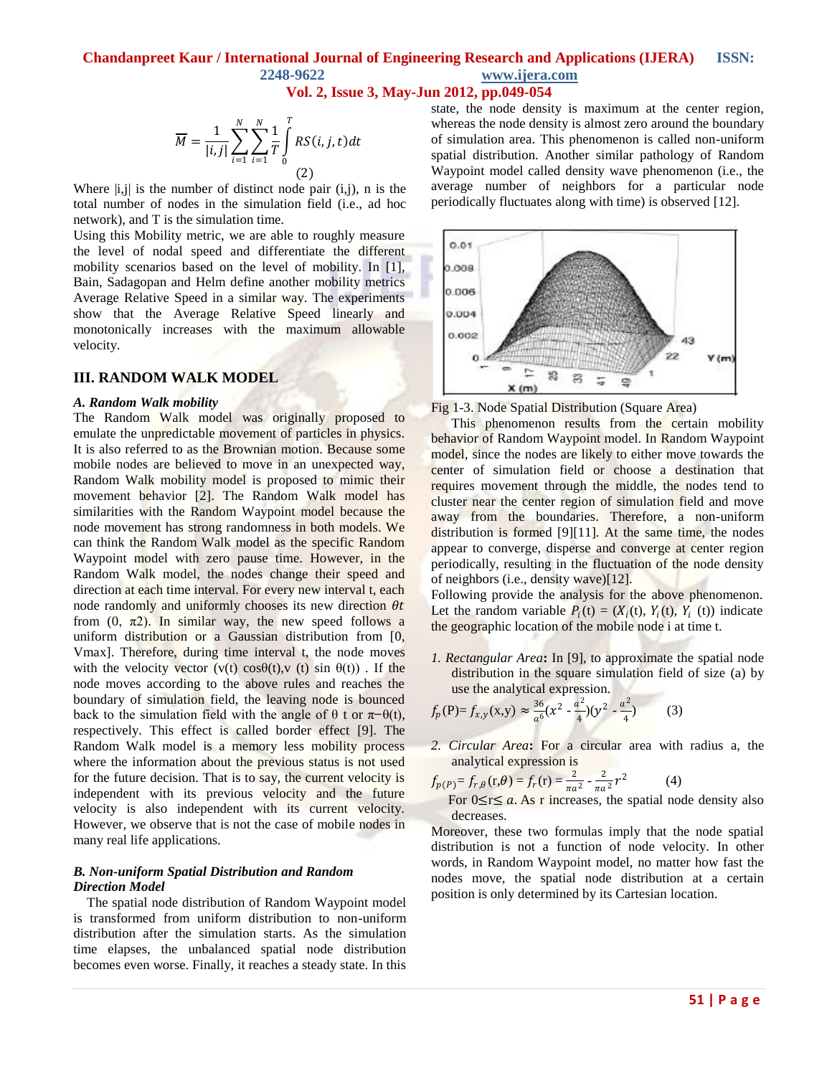### **Vol. 2, Issue 3, May-Jun 2012, pp.049-054**

$$
\overline{M} = \frac{1}{|i,j|} \sum_{i=1}^{N} \sum_{i=1}^{N} \frac{1}{T} \int_{0}^{T} RS(i,j,t)dt
$$
\n(2)

Where  $|i, j|$  is the number of distinct node pair  $(i,j)$ , n is the total number of nodes in the simulation field (i.e., ad hoc network), and T is the simulation time.

Using this Mobility metric, we are able to roughly measure the level of nodal speed and differentiate the different mobility scenarios based on the level of mobility. In [1], Bain, Sadagopan and Helm define another mobility metrics Average Relative Speed in a similar way. The experiments show that the Average Relative Speed linearly and monotonically increases with the maximum allowable velocity.

#### **III. RANDOM WALK MODEL**

#### *A. Random Walk mobility*

The Random Walk model was originally proposed to emulate the unpredictable movement of particles in physics. It is also referred to as the Brownian motion. Because some mobile nodes are believed to move in an unexpected way, Random Walk mobility model is proposed to mimic their movement behavior [2]. The Random Walk model has similarities with the Random Waypoint model because the node movement has strong randomness in both models. We can think the Random Walk model as the specific Random Waypoint model with zero pause time. However, in the Random Walk model, the nodes change their speed and direction at each time interval. For every new interval t, each node randomly and uniformly chooses its new direction  $\theta t$ from  $(0, \pi^2)$ . In similar way, the new speed follows a uniform distribution or a Gaussian distribution from [0, Vmax]. Therefore, during time interval t, the node moves with the velocity vector (v(t) cos $\theta(t)$ , v(t) sin  $\theta(t)$ ). If the node moves according to the above rules and reaches the boundary of simulation field, the leaving node is bounced back to the simulation field with the angle of  $\theta$  t or  $\pi$ – $\theta$ (t), respectively. This effect is called border effect [9]. The Random Walk model is a memory less mobility process where the information about the previous status is not used for the future decision. That is to say, the current velocity is independent with its previous velocity and the future velocity is also independent with its current velocity. However, we observe that is not the case of mobile nodes in many real life applications.

#### *B. Non-uniform Spatial Distribution and Random Direction Model*

The spatial node distribution of Random Waypoint model is transformed from uniform distribution to non-uniform distribution after the simulation starts. As the simulation time elapses, the unbalanced spatial node distribution becomes even worse. Finally, it reaches a steady state. In this state, the node density is maximum at the center region, whereas the node density is almost zero around the boundary of simulation area. This phenomenon is called non-uniform spatial distribution. Another similar pathology of Random Waypoint model called density wave phenomenon (i.e., the average number of neighbors for a particular node periodically fluctuates along with time) is observed [12].



Fig 1-3. Node Spatial Distribution (Square Area)

This phenomenon results from the certain mobility behavior of Random Waypoint model. In Random Waypoint model, since the nodes are likely to either move towards the center of simulation field or choose a destination that requires movement through the middle, the nodes tend to cluster near the center region of simulation field and move away from the boundaries. Therefore, a non-uniform distribution is formed [9][11]. At the same time, the nodes appear to converge, disperse and converge at center region periodically, resulting in the fluctuation of the node density of neighbors (i.e., density wave)[12].

Following provide the analysis for the above phenomenon. Let the random variable  $P_i(t) = (X_i(t), Y_i(t), Y_i(t))$  indicate the geographic location of the mobile node i at time t.

*1. Rectangular Area***:** In [9], to approximate the spatial node distribution in the square simulation field of size (a) by use the analytical expression.

$$
f_p(P) = f_{x,y}(x,y) \approx \frac{36}{a^6} (x^2 - \frac{a^2}{4}) (y^2 - \frac{a^2}{4})
$$
 (3)

*2. Circular Area***:** For a circular area with radius a, the analytical expression is

$$
f_{p(P)} = f_{r,\theta}(\mathbf{r}, \theta) = f_r(\mathbf{r}) = \frac{2}{\pi a^2} - \frac{2}{\pi a^2} r^2
$$
 (4)

For  $0 \le r \le a$ . As r increases, the spatial node density also decreases.

Moreover, these two formulas imply that the node spatial distribution is not a function of node velocity. In other words, in Random Waypoint model, no matter how fast the nodes move, the spatial node distribution at a certain position is only determined by its Cartesian location.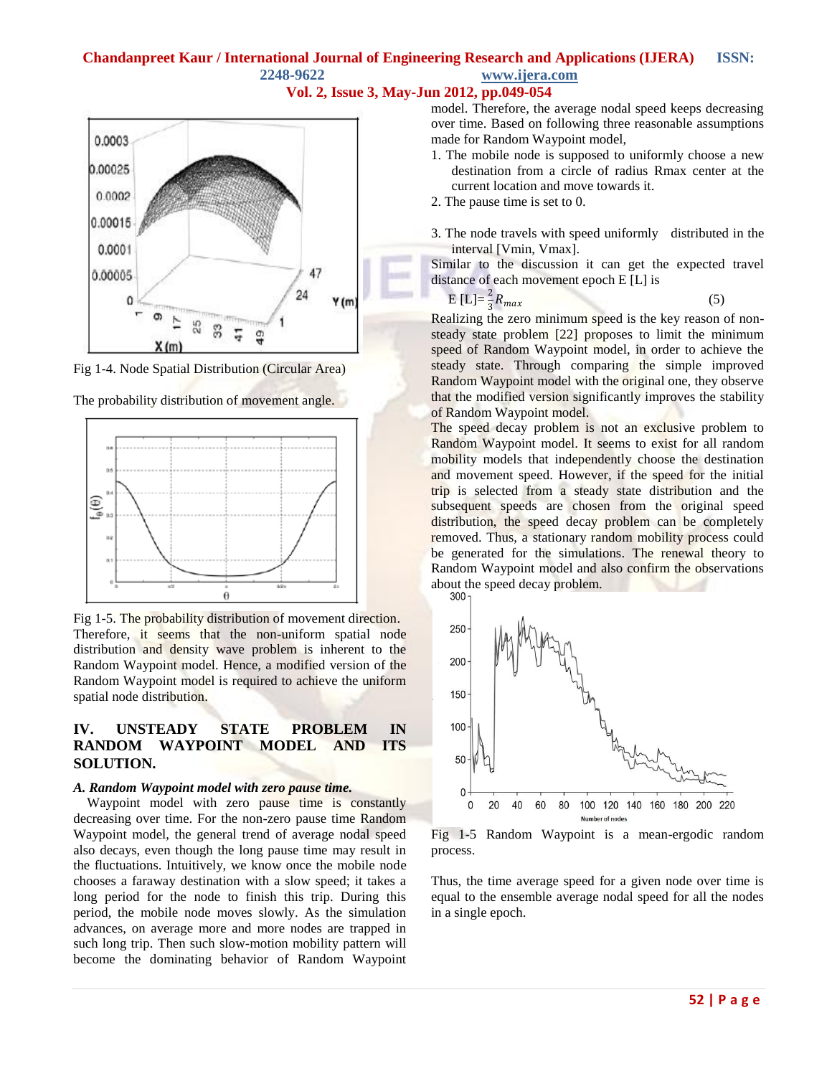









Fig 1-5. The probability distribution of movement direction. Therefore, it seems that the non-uniform spatial node distribution and density wave problem is inherent to the Random Waypoint model. Hence, a modified version of the Random Waypoint model is required to achieve the uniform spatial node distribution.

### **IV. UNSTEADY STATE PROBLEM IN RANDOM WAYPOINT MODEL AND ITS SOLUTION.**

#### *A. Random Waypoint model with zero pause time.*

 Waypoint model with zero pause time is constantly decreasing over time. For the non-zero pause time Random Waypoint model, the general trend of average nodal speed also decays, even though the long pause time may result in the fluctuations. Intuitively, we know once the mobile node chooses a faraway destination with a slow speed; it takes a long period for the node to finish this trip. During this period, the mobile node moves slowly. As the simulation advances, on average more and more nodes are trapped in such long trip. Then such slow-motion mobility pattern will become the dominating behavior of Random Waypoint model. Therefore, the average nodal speed keeps decreasing over time. Based on following three reasonable assumptions made for Random Waypoint model,

- 1. The mobile node is supposed to uniformly choose a new destination from a circle of radius Rmax center at the current location and move towards it.
- 2. The pause time is set to 0.
- 3. The node travels with speed uniformly distributed in the interval [Vmin, Vmax].

Similar to the discussion it can get the expected travel distance of each movement epoch E [L] is

$$
E [L] = \frac{2}{3} R_{max} \tag{5}
$$

Realizing the zero minimum speed is the key reason of nonsteady state problem [22] proposes to limit the minimum speed of Random Waypoint model, in order to achieve the steady state. Through comparing the simple improved Random Waypoint model with the original one, they observe that the modified version significantly improves the stability of Random Waypoint model.

The speed decay problem is not an exclusive problem to Random Waypoint model. It seems to exist for all random mobility models that independently choose the destination and movement speed. However, if the speed for the initial trip is selected from a steady state distribution and the subsequent speeds are chosen from the original speed distribution, the speed decay problem can be completely removed. Thus, a stationary random mobility process could be generated for the simulations. The renewal theory to Random Waypoint model and also confirm the observations about the speed decay problem.



Fig 1-5 Random Waypoint is a mean-ergodic random process.

Thus, the time average speed for a given node over time is equal to the ensemble average nodal speed for all the nodes in a single epoch.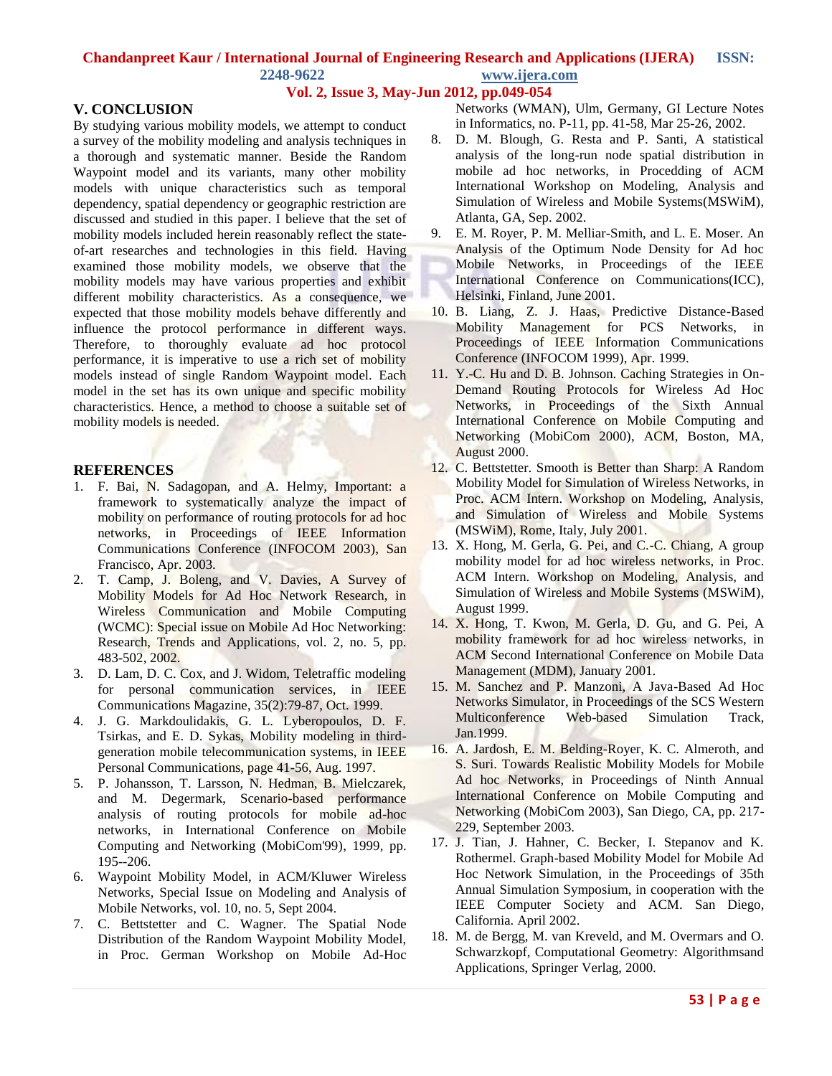### **Vol. 2, Issue 3, May-Jun 2012, pp.049-054**

### **V. CONCLUSION**

By studying various mobility models, we attempt to conduct a survey of the mobility modeling and analysis techniques in a thorough and systematic manner. Beside the Random Waypoint model and its variants, many other mobility models with unique characteristics such as temporal dependency, spatial dependency or geographic restriction are discussed and studied in this paper. I believe that the set of mobility models included herein reasonably reflect the stateof-art researches and technologies in this field. Having examined those mobility models, we observe that the mobility models may have various properties and exhibit different mobility characteristics. As a consequence, we expected that those mobility models behave differently and influence the protocol performance in different ways. Therefore, to thoroughly evaluate ad hoc protocol performance, it is imperative to use a rich set of mobility models instead of single Random Waypoint model. Each model in the set has its own unique and specific mobility characteristics. Hence, a method to choose a suitable set of mobility models is needed.

#### **REFERENCES**

- 1. F. Bai, N. Sadagopan, and A. Helmy, Important: a framework to systematically analyze the impact of mobility on performance of routing protocols for ad hoc networks, in Proceedings of IEEE Information Communications Conference (INFOCOM 2003), San Francisco, Apr. 2003.
- 2. T. Camp, J. Boleng, and V. Davies, A Survey of Mobility Models for Ad Hoc Network Research, in Wireless Communication and Mobile Computing (WCMC): Special issue on Mobile Ad Hoc Networking: Research, Trends and Applications, vol. 2, no. 5, pp. 483-502, 2002.
- 3. D. Lam, D. C. Cox, and J. Widom, Teletraffic modeling for personal communication services, in IEEE Communications Magazine, 35(2):79-87, Oct. 1999.
- 4. J. G. Markdoulidakis, G. L. Lyberopoulos, D. F. Tsirkas, and E. D. Sykas, Mobility modeling in thirdgeneration mobile telecommunication systems, in IEEE Personal Communications, page 41-56, Aug. 1997.
- 5. P. Johansson, T. Larsson, N. Hedman, B. Mielczarek, and M. Degermark, Scenario-based performance analysis of routing protocols for mobile ad-hoc networks, in International Conference on Mobile Computing and Networking (MobiCom'99), 1999, pp. 195--206.
- 6. Waypoint Mobility Model, in ACM/Kluwer Wireless Networks, Special Issue on Modeling and Analysis of Mobile Networks, vol. 10, no. 5, Sept 2004.
- 7. C. Bettstetter and C. Wagner. The Spatial Node Distribution of the Random Waypoint Mobility Model, in Proc. German Workshop on Mobile Ad-Hoc

Networks (WMAN), Ulm, Germany, GI Lecture Notes in Informatics, no. P-11, pp. 41-58, Mar 25-26, 2002.

- 8. D. M. Blough, G. Resta and P. Santi, A statistical analysis of the long-run node spatial distribution in mobile ad hoc networks, in Procedding of ACM International Workshop on Modeling, Analysis and Simulation of Wireless and Mobile Systems(MSWiM), Atlanta, GA, Sep. 2002.
- 9. E. M. Royer, P. M. Melliar-Smith, and L. E. Moser. An Analysis of the Optimum Node Density for Ad hoc Mobile Networks, in Proceedings of the IEEE International Conference on Communications(ICC), Helsinki, Finland, June 2001.
- 10. B. Liang, Z. J. Haas, Predictive Distance-Based Mobility Management for PCS Networks, in Proceedings of IEEE Information Communications Conference (INFOCOM 1999), Apr. 1999.
- 11. Y.-C. Hu and D. B. Johnson. Caching Strategies in On-Demand Routing Protocols for Wireless Ad Hoc Networks, in Proceedings of the Sixth Annual International Conference on Mobile Computing and Networking (MobiCom 2000), ACM, Boston, MA, August 2000.
- 12. C. Bettstetter. Smooth is Better than Sharp: A Random Mobility Model for Simulation of Wireless Networks, in Proc. ACM Intern. Workshop on Modeling, Analysis, and Simulation of Wireless and Mobile Systems (MSWiM), Rome, Italy, July 2001.
- 13. X. Hong, M. Gerla, G. Pei, and C.-C. Chiang, A group mobility model for ad hoc wireless networks, in Proc. ACM Intern. Workshop on Modeling, Analysis, and Simulation of Wireless and Mobile Systems (MSWiM), August 1999.
- 14. X. Hong, T. Kwon, M. Gerla, D. Gu, and G. Pei, A mobility framework for ad hoc wireless networks, in ACM Second International Conference on Mobile Data Management (MDM), January 2001.
- 15. M. Sanchez and P. Manzoni, A Java-Based Ad Hoc Networks Simulator, in Proceedings of the SCS Western Multiconference Web-based Simulation Track, Jan.1999.
- 16. A. Jardosh, E. M. Belding-Royer, K. C. Almeroth, and S. Suri. Towards Realistic Mobility Models for Mobile Ad hoc Networks, in Proceedings of Ninth Annual International Conference on Mobile Computing and Networking (MobiCom 2003), San Diego, CA, pp. 217- 229, September 2003.
- 17. J. Tian, J. Hahner, C. Becker, I. Stepanov and K. Rothermel. Graph-based Mobility Model for Mobile Ad Hoc Network Simulation, in the Proceedings of 35th Annual Simulation Symposium, in cooperation with the IEEE Computer Society and ACM. San Diego, California. April 2002.
- 18. M. de Bergg, M. van Kreveld, and M. Overmars and O. Schwarzkopf, Computational Geometry: Algorithmsand Applications, Springer Verlag, 2000.